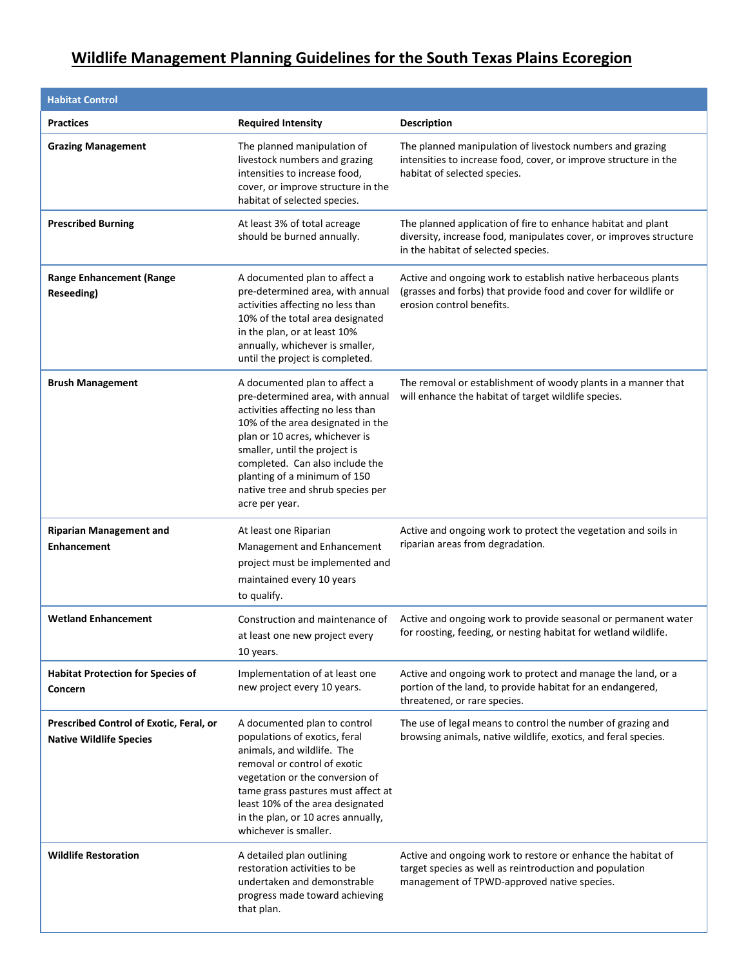| <b>Habitat Control</b>                                                    |                                                                                                                                                                                                                                                                                                                                          |                                                                                                                                                                           |
|---------------------------------------------------------------------------|------------------------------------------------------------------------------------------------------------------------------------------------------------------------------------------------------------------------------------------------------------------------------------------------------------------------------------------|---------------------------------------------------------------------------------------------------------------------------------------------------------------------------|
| <b>Practices</b>                                                          | <b>Required Intensity</b>                                                                                                                                                                                                                                                                                                                | <b>Description</b>                                                                                                                                                        |
| <b>Grazing Management</b>                                                 | The planned manipulation of<br>livestock numbers and grazing<br>intensities to increase food.<br>cover, or improve structure in the<br>habitat of selected species.                                                                                                                                                                      | The planned manipulation of livestock numbers and grazing<br>intensities to increase food, cover, or improve structure in the<br>habitat of selected species.             |
| <b>Prescribed Burning</b>                                                 | At least 3% of total acreage<br>should be burned annually.                                                                                                                                                                                                                                                                               | The planned application of fire to enhance habitat and plant<br>diversity, increase food, manipulates cover, or improves structure<br>in the habitat of selected species. |
| <b>Range Enhancement (Range</b><br>Reseeding)                             | A documented plan to affect a<br>pre-determined area, with annual<br>activities affecting no less than<br>10% of the total area designated<br>in the plan, or at least 10%<br>annually, whichever is smaller,<br>until the project is completed.                                                                                         | Active and ongoing work to establish native herbaceous plants<br>(grasses and forbs) that provide food and cover for wildlife or<br>erosion control benefits.             |
| <b>Brush Management</b>                                                   | A documented plan to affect a<br>pre-determined area, with annual<br>activities affecting no less than<br>10% of the area designated in the<br>plan or 10 acres, whichever is<br>smaller, until the project is<br>completed. Can also include the<br>planting of a minimum of 150<br>native tree and shrub species per<br>acre per year. | The removal or establishment of woody plants in a manner that<br>will enhance the habitat of target wildlife species.                                                     |
| <b>Riparian Management and</b><br><b>Enhancement</b>                      | At least one Riparian<br>Management and Enhancement<br>project must be implemented and<br>maintained every 10 years<br>to qualify.                                                                                                                                                                                                       | Active and ongoing work to protect the vegetation and soils in<br>riparian areas from degradation.                                                                        |
| <b>Wetland Enhancement</b>                                                | Construction and maintenance of<br>at least one new project every<br>10 years.                                                                                                                                                                                                                                                           | Active and ongoing work to provide seasonal or permanent water<br>for roosting, feeding, or nesting habitat for wetland wildlife.                                         |
| <b>Habitat Protection for Species of</b><br>Concern                       | Implementation of at least one<br>new project every 10 years.                                                                                                                                                                                                                                                                            | Active and ongoing work to protect and manage the land, or a<br>portion of the land, to provide habitat for an endangered,<br>threatened, or rare species.                |
| Prescribed Control of Exotic, Feral, or<br><b>Native Wildlife Species</b> | A documented plan to control<br>populations of exotics, feral<br>animals, and wildlife. The<br>removal or control of exotic<br>vegetation or the conversion of<br>tame grass pastures must affect at<br>least 10% of the area designated<br>in the plan, or 10 acres annually,<br>whichever is smaller.                                  | The use of legal means to control the number of grazing and<br>browsing animals, native wildlife, exotics, and feral species.                                             |
| <b>Wildlife Restoration</b>                                               | A detailed plan outlining<br>restoration activities to be<br>undertaken and demonstrable<br>progress made toward achieving<br>that plan.                                                                                                                                                                                                 | Active and ongoing work to restore or enhance the habitat of<br>target species as well as reintroduction and population<br>management of TPWD-approved native species.    |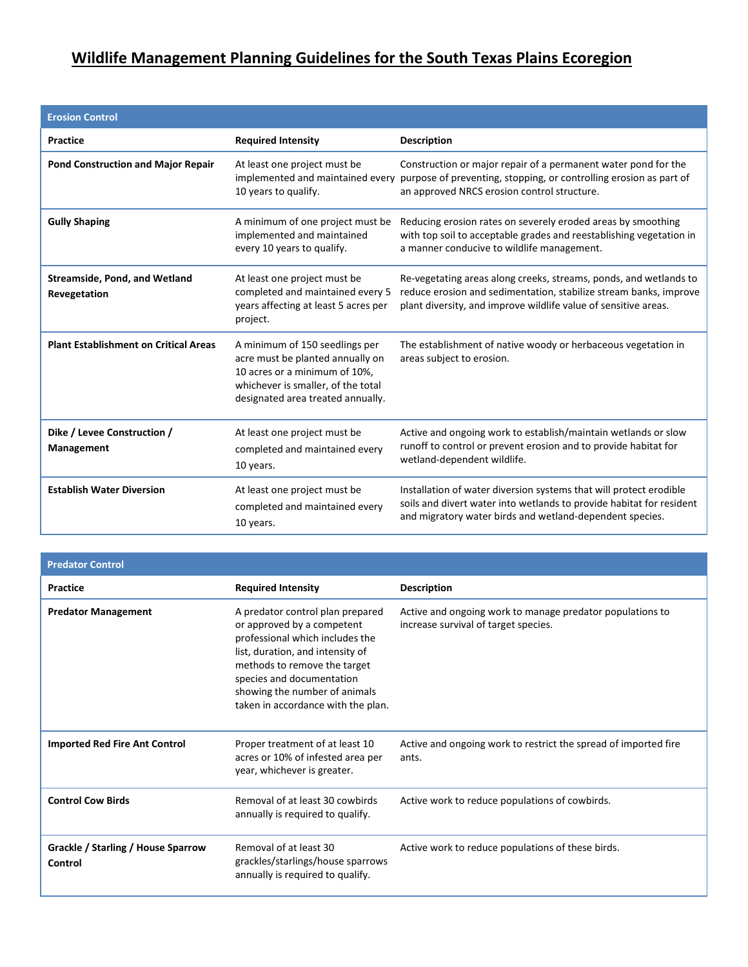| <b>Erosion Control</b>                               |                                                                                                                                                                                |                                                                                                                                                                                                           |
|------------------------------------------------------|--------------------------------------------------------------------------------------------------------------------------------------------------------------------------------|-----------------------------------------------------------------------------------------------------------------------------------------------------------------------------------------------------------|
| Practice                                             | <b>Required Intensity</b>                                                                                                                                                      | <b>Description</b>                                                                                                                                                                                        |
| <b>Pond Construction and Major Repair</b>            | At least one project must be<br>implemented and maintained every<br>10 years to qualify.                                                                                       | Construction or major repair of a permanent water pond for the<br>purpose of preventing, stopping, or controlling erosion as part of<br>an approved NRCS erosion control structure.                       |
| <b>Gully Shaping</b>                                 | A minimum of one project must be<br>implemented and maintained<br>every 10 years to qualify.                                                                                   | Reducing erosion rates on severely eroded areas by smoothing<br>with top soil to acceptable grades and reestablishing vegetation in<br>a manner conducive to wildlife management.                         |
| <b>Streamside, Pond, and Wetland</b><br>Revegetation | At least one project must be<br>completed and maintained every 5<br>years affecting at least 5 acres per<br>project.                                                           | Re-vegetating areas along creeks, streams, ponds, and wetlands to<br>reduce erosion and sedimentation, stabilize stream banks, improve<br>plant diversity, and improve wildlife value of sensitive areas. |
| <b>Plant Establishment on Critical Areas</b>         | A minimum of 150 seedlings per<br>acre must be planted annually on<br>10 acres or a minimum of 10%,<br>whichever is smaller, of the total<br>designated area treated annually. | The establishment of native woody or herbaceous vegetation in<br>areas subject to erosion.                                                                                                                |
| Dike / Levee Construction /<br>Management            | At least one project must be<br>completed and maintained every<br>10 years.                                                                                                    | Active and ongoing work to establish/maintain wetlands or slow<br>runoff to control or prevent erosion and to provide habitat for<br>wetland-dependent wildlife.                                          |
| <b>Establish Water Diversion</b>                     | At least one project must be<br>completed and maintained every<br>10 years.                                                                                                    | Installation of water diversion systems that will protect erodible<br>soils and divert water into wetlands to provide habitat for resident<br>and migratory water birds and wetland-dependent species.    |

| <b>Predator Control</b>                       |                                                                                                                                                                                                                                                                           |                                                                                                   |
|-----------------------------------------------|---------------------------------------------------------------------------------------------------------------------------------------------------------------------------------------------------------------------------------------------------------------------------|---------------------------------------------------------------------------------------------------|
| <b>Practice</b>                               | <b>Required Intensity</b>                                                                                                                                                                                                                                                 | <b>Description</b>                                                                                |
| <b>Predator Management</b>                    | A predator control plan prepared<br>or approved by a competent<br>professional which includes the<br>list, duration, and intensity of<br>methods to remove the target<br>species and documentation<br>showing the number of animals<br>taken in accordance with the plan. | Active and ongoing work to manage predator populations to<br>increase survival of target species. |
| <b>Imported Red Fire Ant Control</b>          | Proper treatment of at least 10<br>acres or 10% of infested area per<br>year, whichever is greater.                                                                                                                                                                       | Active and ongoing work to restrict the spread of imported fire<br>ants.                          |
| <b>Control Cow Birds</b>                      | Removal of at least 30 cowbirds<br>annually is required to qualify.                                                                                                                                                                                                       | Active work to reduce populations of cowbirds.                                                    |
| Grackle / Starling / House Sparrow<br>Control | Removal of at least 30<br>grackles/starlings/house sparrows<br>annually is required to qualify.                                                                                                                                                                           | Active work to reduce populations of these birds.                                                 |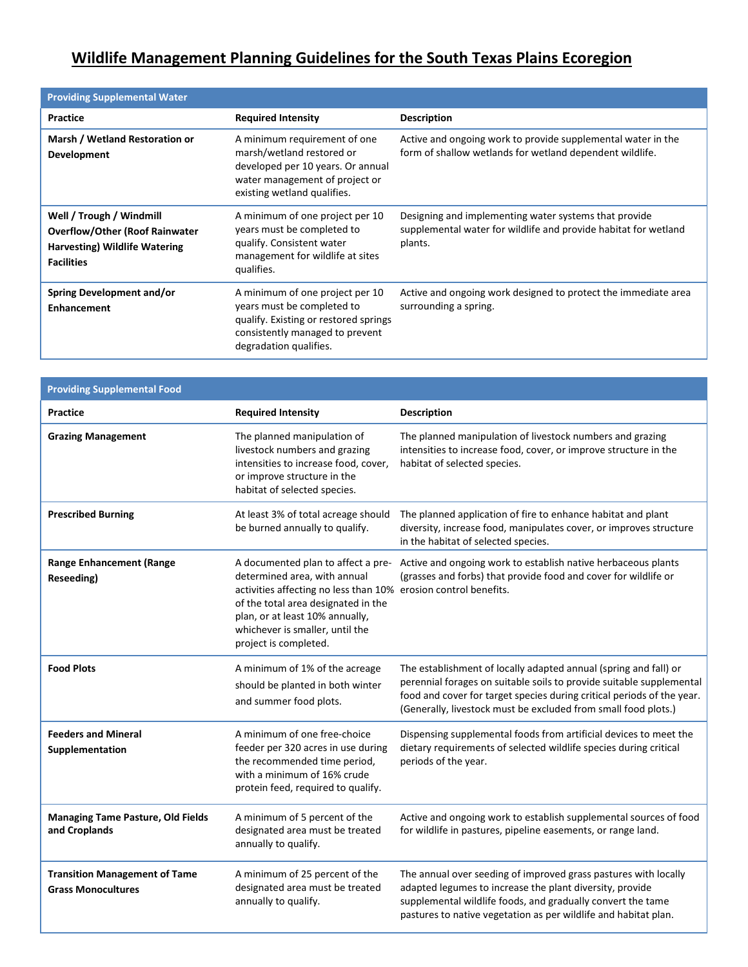| <b>Providing Supplemental Water</b>                                                                                            |                                                                                                                                                                     |                                                                                                                                     |
|--------------------------------------------------------------------------------------------------------------------------------|---------------------------------------------------------------------------------------------------------------------------------------------------------------------|-------------------------------------------------------------------------------------------------------------------------------------|
| Practice                                                                                                                       | <b>Required Intensity</b>                                                                                                                                           | <b>Description</b>                                                                                                                  |
| Marsh / Wetland Restoration or<br><b>Development</b>                                                                           | A minimum requirement of one<br>marsh/wetland restored or<br>developed per 10 years. Or annual<br>water management of project or<br>existing wetland qualifies.     | Active and ongoing work to provide supplemental water in the<br>form of shallow wetlands for wetland dependent wildlife.            |
| Well / Trough / Windmill<br><b>Overflow/Other (Roof Rainwater</b><br><b>Harvesting) Wildlife Watering</b><br><b>Facilities</b> | A minimum of one project per 10<br>years must be completed to<br>qualify. Consistent water<br>management for wildlife at sites<br>qualifies.                        | Designing and implementing water systems that provide<br>supplemental water for wildlife and provide habitat for wetland<br>plants. |
| Spring Development and/or<br><b>Enhancement</b>                                                                                | A minimum of one project per 10<br>years must be completed to<br>qualify. Existing or restored springs<br>consistently managed to prevent<br>degradation qualifies. | Active and ongoing work designed to protect the immediate area<br>surrounding a spring.                                             |

| <b>Providing Supplemental Food</b>                                |                                                                                                                                                                                                                                                                             |                                                                                                                                                                                                                                                                                      |
|-------------------------------------------------------------------|-----------------------------------------------------------------------------------------------------------------------------------------------------------------------------------------------------------------------------------------------------------------------------|--------------------------------------------------------------------------------------------------------------------------------------------------------------------------------------------------------------------------------------------------------------------------------------|
| <b>Practice</b>                                                   | <b>Required Intensity</b>                                                                                                                                                                                                                                                   | <b>Description</b>                                                                                                                                                                                                                                                                   |
| <b>Grazing Management</b>                                         | The planned manipulation of<br>livestock numbers and grazing<br>intensities to increase food, cover,<br>or improve structure in the<br>habitat of selected species.                                                                                                         | The planned manipulation of livestock numbers and grazing<br>intensities to increase food, cover, or improve structure in the<br>habitat of selected species.                                                                                                                        |
| <b>Prescribed Burning</b>                                         | At least 3% of total acreage should<br>be burned annually to qualify.                                                                                                                                                                                                       | The planned application of fire to enhance habitat and plant<br>diversity, increase food, manipulates cover, or improves structure<br>in the habitat of selected species.                                                                                                            |
| <b>Range Enhancement (Range</b><br>Reseeding)                     | A documented plan to affect a pre-<br>determined area, with annual<br>activities affecting no less than 10% erosion control benefits.<br>of the total area designated in the<br>plan, or at least 10% annually,<br>whichever is smaller, until the<br>project is completed. | Active and ongoing work to establish native herbaceous plants<br>(grasses and forbs) that provide food and cover for wildlife or                                                                                                                                                     |
| <b>Food Plots</b>                                                 | A minimum of 1% of the acreage<br>should be planted in both winter<br>and summer food plots.                                                                                                                                                                                | The establishment of locally adapted annual (spring and fall) or<br>perennial forages on suitable soils to provide suitable supplemental<br>food and cover for target species during critical periods of the year.<br>(Generally, livestock must be excluded from small food plots.) |
| <b>Feeders and Mineral</b><br>Supplementation                     | A minimum of one free-choice<br>feeder per 320 acres in use during<br>the recommended time period,<br>with a minimum of 16% crude<br>protein feed, required to qualify.                                                                                                     | Dispensing supplemental foods from artificial devices to meet the<br>dietary requirements of selected wildlife species during critical<br>periods of the year.                                                                                                                       |
| <b>Managing Tame Pasture, Old Fields</b><br>and Croplands         | A minimum of 5 percent of the<br>designated area must be treated<br>annually to qualify.                                                                                                                                                                                    | Active and ongoing work to establish supplemental sources of food<br>for wildlife in pastures, pipeline easements, or range land.                                                                                                                                                    |
| <b>Transition Management of Tame</b><br><b>Grass Monocultures</b> | A minimum of 25 percent of the<br>designated area must be treated<br>annually to qualify.                                                                                                                                                                                   | The annual over seeding of improved grass pastures with locally<br>adapted legumes to increase the plant diversity, provide<br>supplemental wildlife foods, and gradually convert the tame<br>pastures to native vegetation as per wildlife and habitat plan.                        |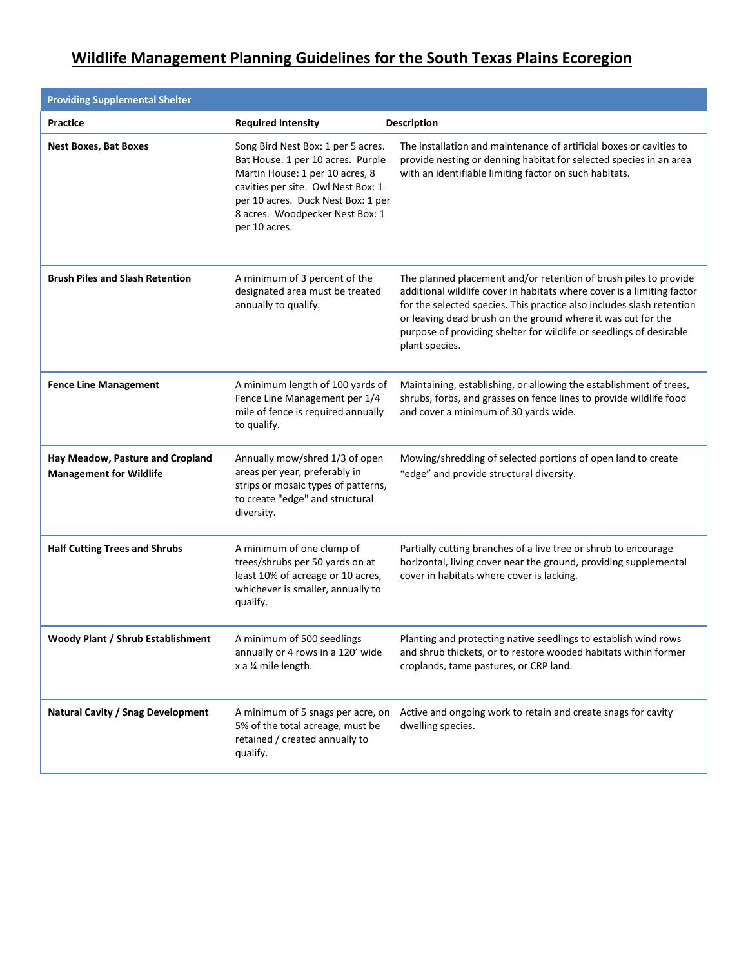| <b>Providing Supplemental Shelter</b>                              |                                                                                                                                                                                                                                            |                                                                                                                                                                                                                                                                                                                                                                              |
|--------------------------------------------------------------------|--------------------------------------------------------------------------------------------------------------------------------------------------------------------------------------------------------------------------------------------|------------------------------------------------------------------------------------------------------------------------------------------------------------------------------------------------------------------------------------------------------------------------------------------------------------------------------------------------------------------------------|
| <b>Practice</b>                                                    | <b>Required Intensity</b>                                                                                                                                                                                                                  | <b>Description</b>                                                                                                                                                                                                                                                                                                                                                           |
| <b>Nest Boxes, Bat Boxes</b>                                       | Song Bird Nest Box: 1 per 5 acres.<br>Bat House: 1 per 10 acres. Purple<br>Martin House: 1 per 10 acres, 8<br>cavities per site. Owl Nest Box: 1<br>per 10 acres. Duck Nest Box: 1 per<br>8 acres. Woodpecker Nest Box: 1<br>per 10 acres. | The installation and maintenance of artificial boxes or cavities to<br>provide nesting or denning habitat for selected species in an area<br>with an identifiable limiting factor on such habitats.                                                                                                                                                                          |
| <b>Brush Piles and Slash Retention</b>                             | A minimum of 3 percent of the<br>designated area must be treated<br>annually to qualify.                                                                                                                                                   | The planned placement and/or retention of brush piles to provide<br>additional wildlife cover in habitats where cover is a limiting factor<br>for the selected species. This practice also includes slash retention<br>or leaving dead brush on the ground where it was cut for the<br>purpose of providing shelter for wildlife or seedlings of desirable<br>plant species. |
| <b>Fence Line Management</b>                                       | A minimum length of 100 yards of<br>Fence Line Management per 1/4<br>mile of fence is required annually<br>to qualify.                                                                                                                     | Maintaining, establishing, or allowing the establishment of trees,<br>shrubs, forbs, and grasses on fence lines to provide wildlife food<br>and cover a minimum of 30 yards wide.                                                                                                                                                                                            |
| Hay Meadow, Pasture and Cropland<br><b>Management for Wildlife</b> | Annually mow/shred 1/3 of open<br>areas per year, preferably in<br>strips or mosaic types of patterns,<br>to create "edge" and structural<br>diversity.                                                                                    | Mowing/shredding of selected portions of open land to create<br>"edge" and provide structural diversity.                                                                                                                                                                                                                                                                     |
| <b>Half Cutting Trees and Shrubs</b>                               | A minimum of one clump of<br>trees/shrubs per 50 yards on at<br>least 10% of acreage or 10 acres,<br>whichever is smaller, annually to<br>qualify.                                                                                         | Partially cutting branches of a live tree or shrub to encourage<br>horizontal, living cover near the ground, providing supplemental<br>cover in habitats where cover is lacking.                                                                                                                                                                                             |
| <b>Woody Plant / Shrub Establishment</b>                           | A minimum of 500 seedlings<br>annually or 4 rows in a 120' wide<br>x a 1/4 mile length.                                                                                                                                                    | Planting and protecting native seedlings to establish wind rows<br>and shrub thickets, or to restore wooded habitats within former<br>croplands, tame pastures, or CRP land.                                                                                                                                                                                                 |
| <b>Natural Cavity / Snag Development</b>                           | A minimum of 5 snags per acre, on<br>5% of the total acreage, must be<br>retained / created annually to<br>qualify.                                                                                                                        | Active and ongoing work to retain and create snags for cavity<br>dwelling species.                                                                                                                                                                                                                                                                                           |